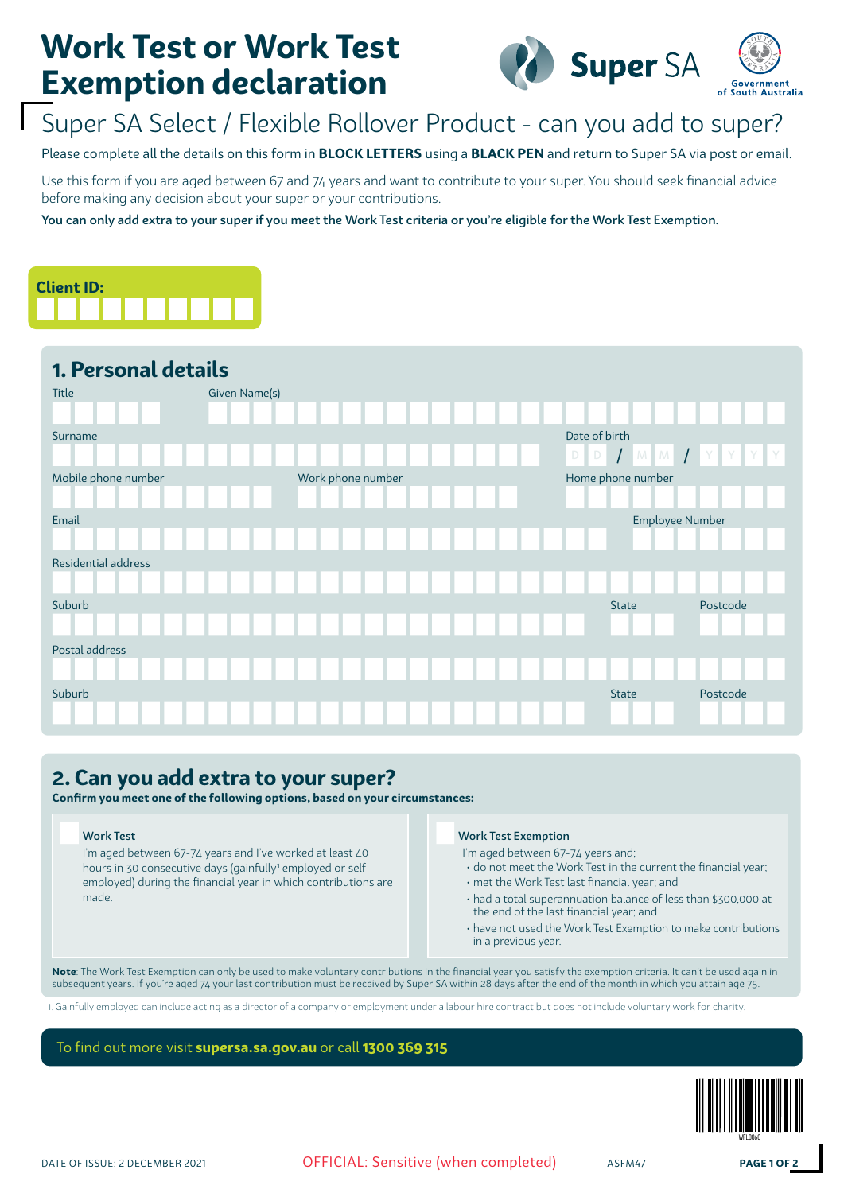# **Work Test or Work Test Exemption declaration**



## Super SA Select / Flexible Rollover Product - can you add to super?

Please complete all the details on this form in **BLOCK LETTERS** using a **BLACK PEN** and return to Super SA via post or email.

Use this form if you are aged between 67 and 74 years and want to contribute to your super. You should seek financial advice before making any decision about your super or your contributions.

You can only add extra to your super if you meet the Work Test criteria or you're eligible for the Work Test Exemption.



### **1. Personal details**

| Title               | <b>Given Name(s)</b> |                   |  |  |  |               |                   |                    |  |
|---------------------|----------------------|-------------------|--|--|--|---------------|-------------------|--------------------|--|
| Surname             |                      |                   |  |  |  | Date of birth |                   |                    |  |
|                     |                      |                   |  |  |  | $D$ $D$       |                   | $I$ MM $I$ Y Y Y Y |  |
| Mobile phone number |                      | Work phone number |  |  |  |               | Home phone number |                    |  |
|                     |                      |                   |  |  |  |               |                   |                    |  |
| Email               |                      |                   |  |  |  |               | Employee Number   |                    |  |
|                     |                      |                   |  |  |  |               |                   |                    |  |
| Residential address |                      |                   |  |  |  |               |                   |                    |  |
|                     |                      |                   |  |  |  |               |                   |                    |  |
| Suburb              |                      |                   |  |  |  |               | <b>State</b>      | Postcode           |  |
|                     |                      |                   |  |  |  |               |                   |                    |  |
| Postal address      |                      |                   |  |  |  |               |                   |                    |  |
|                     |                      |                   |  |  |  |               |                   |                    |  |
| Suburb              |                      |                   |  |  |  |               | <b>State</b>      | Postcode           |  |
|                     |                      |                   |  |  |  |               |                   |                    |  |

## **2. Can you add extra to your super?**

**Confirm you meet one of the following options, based on your circumstances:**

I'm aged between 67-74 years and I've worked at least 40 hours in 30 consecutive days (gainfully<sup>1</sup> employed or selfemployed) during the financial year in which contributions are made.

### Work Test Work Test Exemption

- I'm aged between 67-74 years and;
- do not meet the Work Test in the current the financial year;
- met the Work Test last financial year; and
- had a total superannuation balance of less than \$300,000 at the end of the last financial year; and
- have not used the Work Test Exemption to make contributions in a previous year.

**Note**: The Work Test Exemption can only be used to make voluntary contributions in the financial year you satisfy the exemption criteria. It can't be used again in subsequent years. If you're aged 74 your last contribution must be received by Super SA within 28 days after the end of the month in which you attain age 75.

1. Gainfully employed can include acting as a director of a company or employment under a labour hire contract but does not include voluntary work for charity.

To find out more visit **supersa.sa.gov.au** or call **1300 369 315**